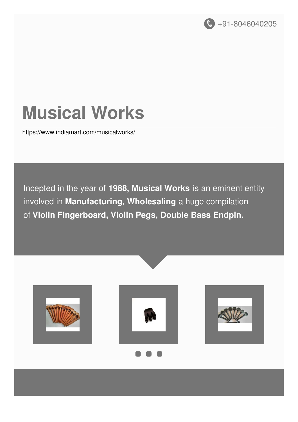

# **Musical Works**

<https://www.indiamart.com/musicalworks/>

Incepted in the year of **1988, Musical Works** is an eminent entity involved in **Manufacturing**, **Wholesaling** a huge compilation of **Violin Fingerboard, Violin Pegs, Double Bass Endpin.**

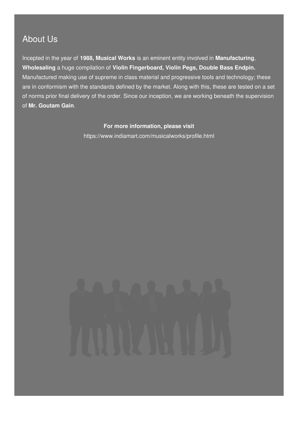### About Us

Incepted in the year of **1988, Musical Works** is an eminent entity involved in **Manufacturing**, **Wholesaling** a huge compilation of **Violin Fingerboard, Violin Pegs, Double Bass Endpin.** Manufactured making use of supreme in class material and progressive tools and technology; these are in conformism with the standards defined by the market. Along with this, these are tested on a set of norms prior final delivery of the order. Since our inception, we are working beneath the supervision of **Mr. Goutam Gain**.

#### **For more information, please visit**

<https://www.indiamart.com/musicalworks/profile.html>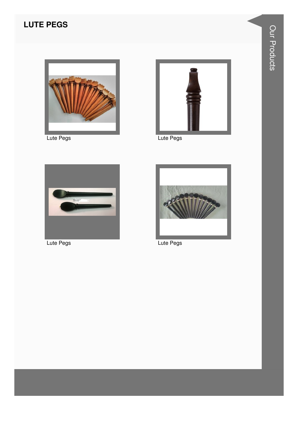### **LUTE PEGS**



Lute Pegs



Lute Pegs



Lute Pegs



Lute Pegs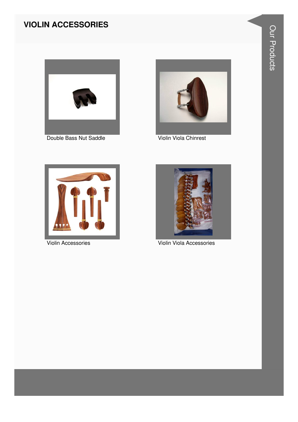#### **VIOLIN ACCESSORIES**



Double Bass Nut Saddle



Violin Viola Chinrest



Violin Accessories



Violin Viola Accessories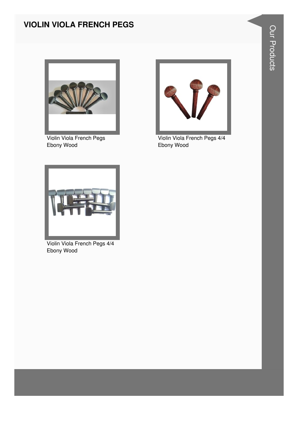#### **VIOLIN VIOLA FRENCH PEGS**



Violin Viola French Pegs Ebony Wood



Violin Viola French Pegs 4/4 Ebony Wood



Violin Viola French Pegs 4/4 Ebony Wood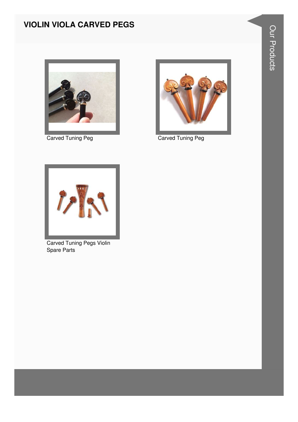#### **VIOLIN VIOLA CARVED PEGS**



**Carved Tuning Peg** 



**Carved Tuning Peg** 



**Carved Tuning Pegs Violin Spare Parts**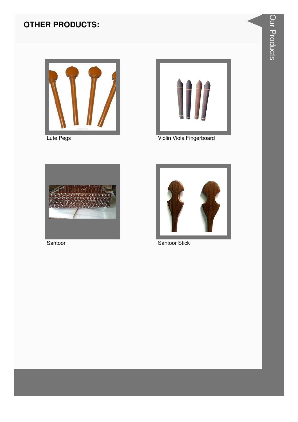

Lute Pegs



Violin Viola Fingerboard



Santoor



**Santoor Stick**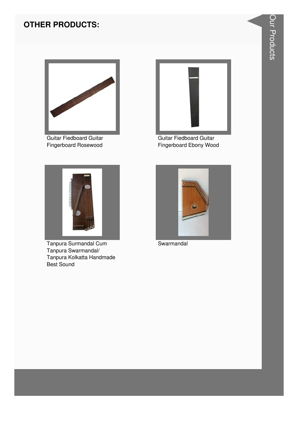

**Guitar Fiedboard Guitar** Fingerboard Rosewood



Tanpura Surmandal Cum Tanpura Swarmandal/ Tanpura Kolkatta Handmade **Best Sound** 



**Guitar Fiedboard Guitar** Fingerboard Ebony Wood



Swarmandal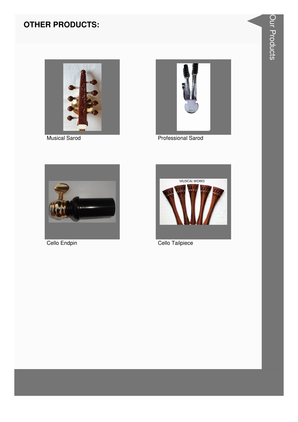

**Musical Sarod** 



**Professional Sarod** 



Cello Endpin



Cello Tailpiece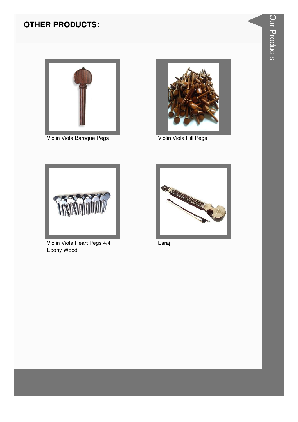

Violin Viola Baroque Pegs



Violin Viola Hill Pegs



Violin Viola Heart Pegs 4/4 Ebony Wood



Esraj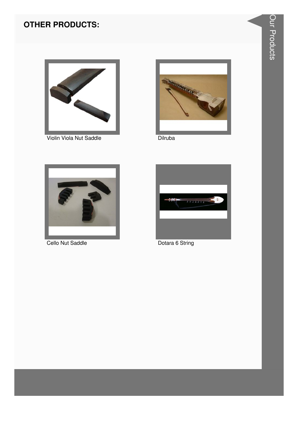

Violin Viola Nut Saddle



Dilruba



Cello Nut Saddle



Dotara 6 String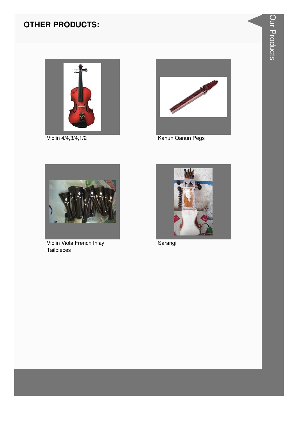

Violin 4/4,3/4,1/2



Kanun Qanun Pegs



Violin Viola French Inlay Tailpieces



Sarangi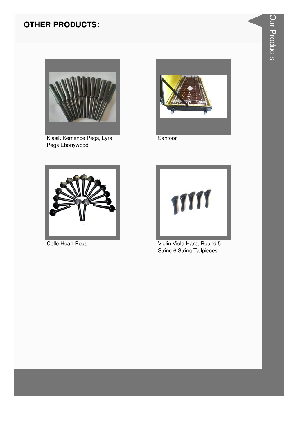

Klasik Kemence Pegs, Lyra Pegs Ebonywood



Santoor





**Cello Heart Pegs** Violin Viola Harp, Round 5 String 6 String Tailpieces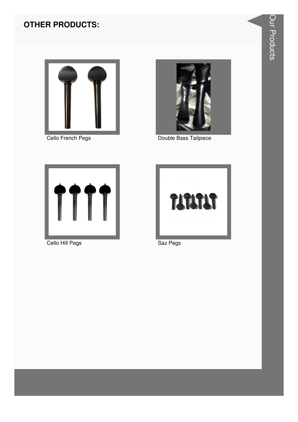

Cello French Pegs



Double Bass Tailpiece



Cello Hill Pegs



Saz Pegs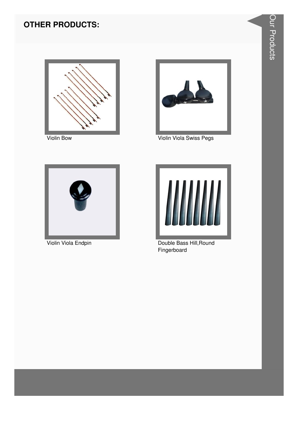



Violin Viola Swiss Pegs



Violin Viola Endpin



Double Bass Hill, Round Fingerboard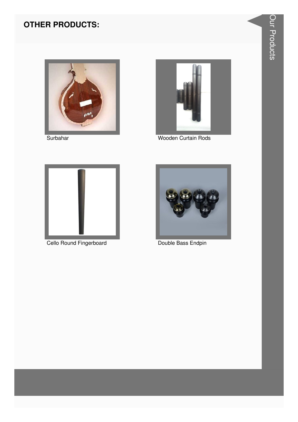





Wooden Curtain Rods



Cello Round Fingerboard



Double Bass Endpin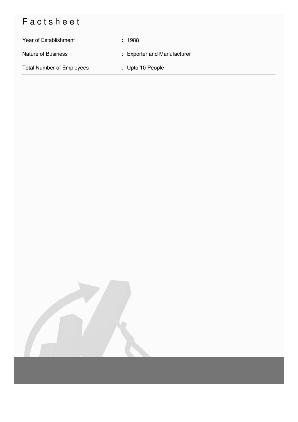## Factsheet

| Year of Establishment            | : 1988                      |
|----------------------------------|-----------------------------|
| <b>Nature of Business</b>        | : Exporter and Manufacturer |
| <b>Total Number of Employees</b> | : Upto 10 People            |